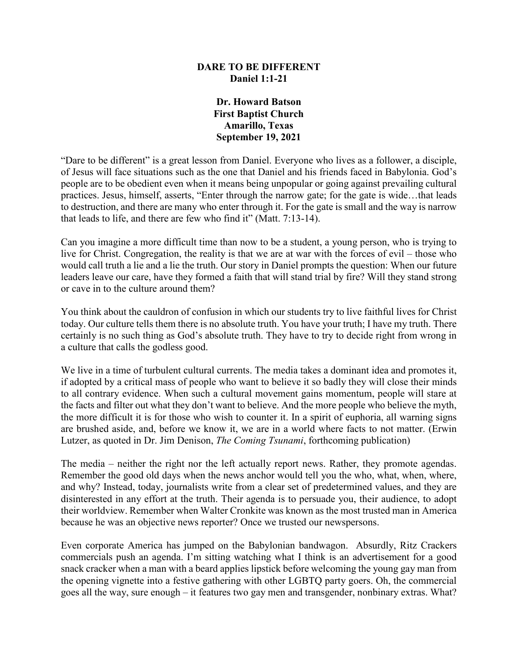### **DARE TO BE DIFFERENT Daniel 1:1-21**

## **Dr. Howard Batson First Baptist Church Amarillo, Texas September 19, 2021**

"Dare to be different" is a great lesson from Daniel. Everyone who lives as a follower, a disciple, of Jesus will face situations such as the one that Daniel and his friends faced in Babylonia. God's people are to be obedient even when it means being unpopular or going against prevailing cultural practices. Jesus, himself, asserts, "Enter through the narrow gate; for the gate is wide…that leads to destruction, and there are many who enter through it. For the gate is small and the way is narrow that leads to life, and there are few who find it" (Matt. 7:13-14).

Can you imagine a more difficult time than now to be a student, a young person, who is trying to live for Christ. Congregation, the reality is that we are at war with the forces of evil – those who would call truth a lie and a lie the truth. Our story in Daniel prompts the question: When our future leaders leave our care, have they formed a faith that will stand trial by fire? Will they stand strong or cave in to the culture around them?

You think about the cauldron of confusion in which our students try to live faithful lives for Christ today. Our culture tells them there is no absolute truth. You have your truth; I have my truth. There certainly is no such thing as God's absolute truth. They have to try to decide right from wrong in a culture that calls the godless good.

We live in a time of turbulent cultural currents. The media takes a dominant idea and promotes it, if adopted by a critical mass of people who want to believe it so badly they will close their minds to all contrary evidence. When such a cultural movement gains momentum, people will stare at the facts and filter out what they don't want to believe. And the more people who believe the myth, the more difficult it is for those who wish to counter it. In a spirit of euphoria, all warning signs are brushed aside, and, before we know it, we are in a world where facts to not matter. (Erwin Lutzer, as quoted in Dr. Jim Denison, *The Coming Tsunami*, forthcoming publication)

The media – neither the right nor the left actually report news. Rather, they promote agendas. Remember the good old days when the news anchor would tell you the who, what, when, where, and why? Instead, today, journalists write from a clear set of predetermined values, and they are disinterested in any effort at the truth. Their agenda is to persuade you, their audience, to adopt their worldview. Remember when Walter Cronkite was known as the most trusted man in America because he was an objective news reporter? Once we trusted our newspersons.

Even corporate America has jumped on the Babylonian bandwagon. Absurdly, Ritz Crackers commercials push an agenda. I'm sitting watching what I think is an advertisement for a good snack cracker when a man with a beard applies lipstick before welcoming the young gay man from the opening vignette into a festive gathering with other LGBTQ party goers. Oh, the commercial goes all the way, sure enough – it features two gay men and transgender, nonbinary extras. What?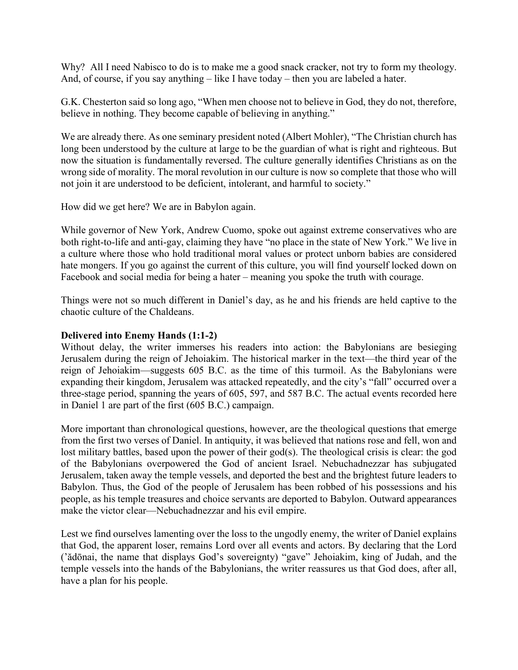Why? All I need Nabisco to do is to make me a good snack cracker, not try to form my theology. And, of course, if you say anything – like I have today – then you are labeled a hater.

G.K. Chesterton said so long ago, "When men choose not to believe in God, they do not, therefore, believe in nothing. They become capable of believing in anything."

We are already there. As one seminary president noted (Albert Mohler), "The Christian church has long been understood by the culture at large to be the guardian of what is right and righteous. But now the situation is fundamentally reversed. The culture generally identifies Christians as on the wrong side of morality. The moral revolution in our culture is now so complete that those who will not join it are understood to be deficient, intolerant, and harmful to society."

How did we get here? We are in Babylon again.

While governor of New York, Andrew Cuomo, spoke out against extreme conservatives who are both right-to-life and anti-gay, claiming they have "no place in the state of New York." We live in a culture where those who hold traditional moral values or protect unborn babies are considered hate mongers. If you go against the current of this culture, you will find yourself locked down on Facebook and social media for being a hater – meaning you spoke the truth with courage.

Things were not so much different in Daniel's day, as he and his friends are held captive to the chaotic culture of the Chaldeans.

### **Delivered into Enemy Hands (1:1-2)**

Without delay, the writer immerses his readers into action: the Babylonians are besieging Jerusalem during the reign of Jehoiakim. The historical marker in the text—the third year of the reign of Jehoiakim—suggests 605 B.C. as the time of this turmoil. As the Babylonians were expanding their kingdom, Jerusalem was attacked repeatedly, and the city's "fall" occurred over a three-stage period, spanning the years of 605, 597, and 587 B.C. The actual events recorded here in Daniel 1 are part of the first (605 B.C.) campaign.

More important than chronological questions, however, are the theological questions that emerge from the first two verses of Daniel. In antiquity, it was believed that nations rose and fell, won and lost military battles, based upon the power of their god(s). The theological crisis is clear: the god of the Babylonians overpowered the God of ancient Israel. Nebuchadnezzar has subjugated Jerusalem, taken away the temple vessels, and deported the best and the brightest future leaders to Babylon. Thus, the God of the people of Jerusalem has been robbed of his possessions and his people, as his temple treasures and choice servants are deported to Babylon. Outward appearances make the victor clear—Nebuchadnezzar and his evil empire.

Lest we find ourselves lamenting over the loss to the ungodly enemy, the writer of Daniel explains that God, the apparent loser, remains Lord over all events and actors. By declaring that the Lord ('ădōnai, the name that displays God's sovereignty) "gave" Jehoiakim, king of Judah, and the temple vessels into the hands of the Babylonians, the writer reassures us that God does, after all, have a plan for his people.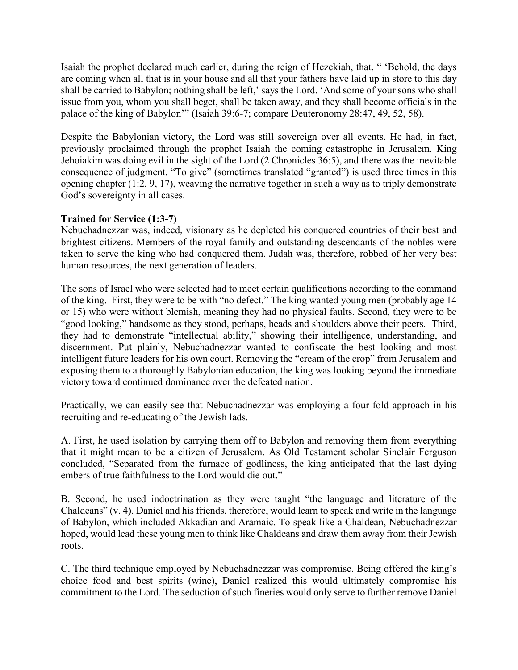Isaiah the prophet declared much earlier, during the reign of Hezekiah, that, " 'Behold, the days are coming when all that is in your house and all that your fathers have laid up in store to this day shall be carried to Babylon; nothing shall be left,' says the Lord. 'And some of your sons who shall issue from you, whom you shall beget, shall be taken away, and they shall become officials in the palace of the king of Babylon'" (Isaiah 39:6-7; compare Deuteronomy 28:47, 49, 52, 58).

Despite the Babylonian victory, the Lord was still sovereign over all events. He had, in fact, previously proclaimed through the prophet Isaiah the coming catastrophe in Jerusalem. King Jehoiakim was doing evil in the sight of the Lord (2 Chronicles 36:5), and there was the inevitable consequence of judgment. "To give" (sometimes translated "granted") is used three times in this opening chapter (1:2, 9, 17), weaving the narrative together in such a way as to triply demonstrate God's sovereignty in all cases.

# **Trained for Service (1:3-7)**

Nebuchadnezzar was, indeed, visionary as he depleted his conquered countries of their best and brightest citizens. Members of the royal family and outstanding descendants of the nobles were taken to serve the king who had conquered them. Judah was, therefore, robbed of her very best human resources, the next generation of leaders.

The sons of Israel who were selected had to meet certain qualifications according to the command of the king. First, they were to be with "no defect." The king wanted young men (probably age 14 or 15) who were without blemish, meaning they had no physical faults. Second, they were to be "good looking," handsome as they stood, perhaps, heads and shoulders above their peers. Third, they had to demonstrate "intellectual ability," showing their intelligence, understanding, and discernment. Put plainly, Nebuchadnezzar wanted to confiscate the best looking and most intelligent future leaders for his own court. Removing the "cream of the crop" from Jerusalem and exposing them to a thoroughly Babylonian education, the king was looking beyond the immediate victory toward continued dominance over the defeated nation.

Practically, we can easily see that Nebuchadnezzar was employing a four-fold approach in his recruiting and re-educating of the Jewish lads.

A. First, he used isolation by carrying them off to Babylon and removing them from everything that it might mean to be a citizen of Jerusalem. As Old Testament scholar Sinclair Ferguson concluded, "Separated from the furnace of godliness, the king anticipated that the last dying embers of true faithfulness to the Lord would die out."

B. Second, he used indoctrination as they were taught "the language and literature of the Chaldeans" (v. 4). Daniel and his friends, therefore, would learn to speak and write in the language of Babylon, which included Akkadian and Aramaic. To speak like a Chaldean, Nebuchadnezzar hoped, would lead these young men to think like Chaldeans and draw them away from their Jewish roots.

C. The third technique employed by Nebuchadnezzar was compromise. Being offered the king's choice food and best spirits (wine), Daniel realized this would ultimately compromise his commitment to the Lord. The seduction of such fineries would only serve to further remove Daniel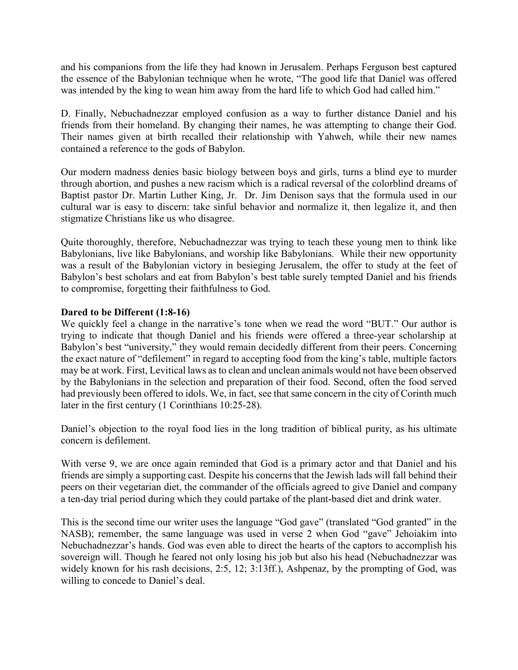and his companions from the life they had known in Jerusalem. Perhaps Ferguson best captured the essence of the Babylonian technique when he wrote, "The good life that Daniel was offered was intended by the king to wean him away from the hard life to which God had called him."

D. Finally, Nebuchadnezzar employed confusion as a way to further distance Daniel and his friends from their homeland. By changing their names, he was attempting to change their God. Their names given at birth recalled their relationship with Yahweh, while their new names contained a reference to the gods of Babylon.

Our modern madness denies basic biology between boys and girls, turns a blind eye to murder through abortion, and pushes a new racism which is a radical reversal of the colorblind dreams of Baptist pastor Dr. Martin Luther King, Jr. Dr. Jim Denison says that the formula used in our cultural war is easy to discern: take sinful behavior and normalize it, then legalize it, and then stigmatize Christians like us who disagree.

Quite thoroughly, therefore, Nebuchadnezzar was trying to teach these young men to think like Babylonians, live like Babylonians, and worship like Babylonians. While their new opportunity was a result of the Babylonian victory in besieging Jerusalem, the offer to study at the feet of Babylon's best scholars and eat from Babylon's best table surely tempted Daniel and his friends to compromise, forgetting their faithfulness to God.

### **Dared to be Different (1:8-16)**

We quickly feel a change in the narrative's tone when we read the word "BUT." Our author is trying to indicate that though Daniel and his friends were offered a three-year scholarship at Babylon's best "university," they would remain decidedly different from their peers. Concerning the exact nature of "defilement" in regard to accepting food from the king's table, multiple factors may be at work. First, Levitical laws as to clean and unclean animals would not have been observed by the Babylonians in the selection and preparation of their food. Second, often the food served had previously been offered to idols. We, in fact, see that same concern in the city of Corinth much later in the first century (1 Corinthians 10:25-28).

Daniel's objection to the royal food lies in the long tradition of biblical purity, as his ultimate concern is defilement.

With verse 9, we are once again reminded that God is a primary actor and that Daniel and his friends are simply a supporting cast. Despite his concerns that the Jewish lads will fall behind their peers on their vegetarian diet, the commander of the officials agreed to give Daniel and company a ten-day trial period during which they could partake of the plant-based diet and drink water.

This is the second time our writer uses the language "God gave" (translated "God granted" in the NASB); remember, the same language was used in verse 2 when God "gave" Jehoiakim into Nebuchadnezzar's hands. God was even able to direct the hearts of the captors to accomplish his sovereign will. Though he feared not only losing his job but also his head (Nebuchadnezzar was widely known for his rash decisions, 2:5, 12; 3:13ff.), Ashpenaz, by the prompting of God, was willing to concede to Daniel's deal.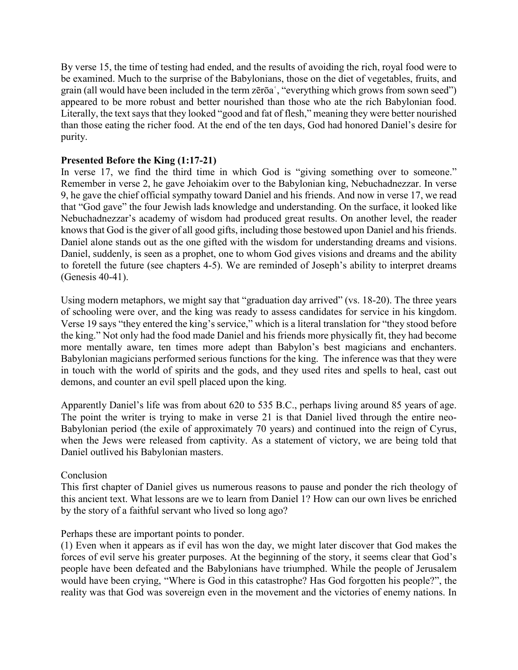By verse 15, the time of testing had ended, and the results of avoiding the rich, royal food were to be examined. Much to the surprise of the Babylonians, those on the diet of vegetables, fruits, and grain (all would have been included in the term zērōaʿ, "everything which grows from sown seed") appeared to be more robust and better nourished than those who ate the rich Babylonian food. Literally, the text says that they looked "good and fat of flesh," meaning they were better nourished than those eating the richer food. At the end of the ten days, God had honored Daniel's desire for purity.

## **Presented Before the King (1:17-21)**

In verse 17, we find the third time in which God is "giving something over to someone." Remember in verse 2, he gave Jehoiakim over to the Babylonian king, Nebuchadnezzar. In verse 9, he gave the chief official sympathy toward Daniel and his friends. And now in verse 17, we read that "God gave" the four Jewish lads knowledge and understanding. On the surface, it looked like Nebuchadnezzar's academy of wisdom had produced great results. On another level, the reader knows that God is the giver of all good gifts, including those bestowed upon Daniel and his friends. Daniel alone stands out as the one gifted with the wisdom for understanding dreams and visions. Daniel, suddenly, is seen as a prophet, one to whom God gives visions and dreams and the ability to foretell the future (see chapters 4-5). We are reminded of Joseph's ability to interpret dreams (Genesis 40-41).

Using modern metaphors, we might say that "graduation day arrived" (vs. 18-20). The three years of schooling were over, and the king was ready to assess candidates for service in his kingdom. Verse 19 says "they entered the king's service," which is a literal translation for "they stood before the king." Not only had the food made Daniel and his friends more physically fit, they had become more mentally aware, ten times more adept than Babylon's best magicians and enchanters. Babylonian magicians performed serious functions for the king. The inference was that they were in touch with the world of spirits and the gods, and they used rites and spells to heal, cast out demons, and counter an evil spell placed upon the king.

Apparently Daniel's life was from about 620 to 535 B.C., perhaps living around 85 years of age. The point the writer is trying to make in verse 21 is that Daniel lived through the entire neo-Babylonian period (the exile of approximately 70 years) and continued into the reign of Cyrus, when the Jews were released from captivity. As a statement of victory, we are being told that Daniel outlived his Babylonian masters.

### Conclusion

This first chapter of Daniel gives us numerous reasons to pause and ponder the rich theology of this ancient text. What lessons are we to learn from Daniel 1? How can our own lives be enriched by the story of a faithful servant who lived so long ago?

### Perhaps these are important points to ponder.

(1) Even when it appears as if evil has won the day, we might later discover that God makes the forces of evil serve his greater purposes. At the beginning of the story, it seems clear that God's people have been defeated and the Babylonians have triumphed. While the people of Jerusalem would have been crying, "Where is God in this catastrophe? Has God forgotten his people?", the reality was that God was sovereign even in the movement and the victories of enemy nations. In